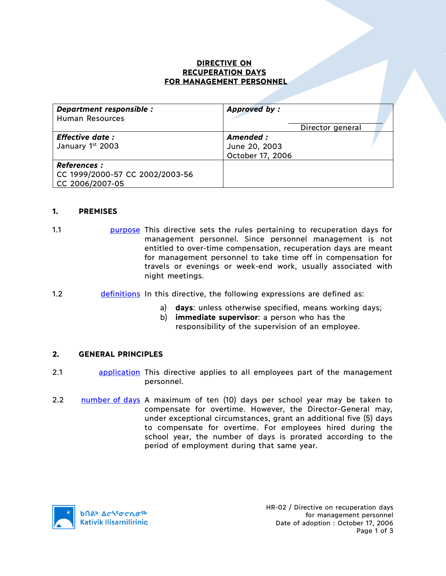### **DIRECTIVE ON RECUPERATION DAYS FOR MANAGEMENT PERSONNEL**

| Department responsible :<br><b>Human Resources</b>                        | <b>Approved by:</b>                                                |
|---------------------------------------------------------------------------|--------------------------------------------------------------------|
| <b>Effective date:</b><br>January 1st 2003                                | Director general<br>Amended :<br>June 20, 2003<br>October 17, 2006 |
| <b>References :</b><br>CC 1999/2000-57 CC 2002/2003-56<br>CC 2006/2007-05 |                                                                    |

## **1. PREMISES**

- 1.1 purpose This directive sets the rules pertaining to recuperation days for management personnel. Since personnel management is not entitled to over-time compensation, recuperation days are meant for management personnel to take time off in compensation for travels or evenings or week-end work, usually associated with night meetings.
- 1.2 definitions In this directive, the following expressions are defined as:
	- a) **days**: unless otherwise specified, means working days;
	- b) **immediate supervisor**: a person who has the responsibility of the supervision of an employee.

#### **2. GENERAL PRINCIPLES**

- 2.1 **application** This directive applies to all employees part of the management personnel.
- 2.2 number of days A maximum of ten (10) days per school year may be taken to compensate for overtime. However, the Director-General may, under exceptional circumstances, grant an additional five (5) days to compensate for overtime. For employees hired during the school year, the number of days is prorated according to the period of employment during that same year.

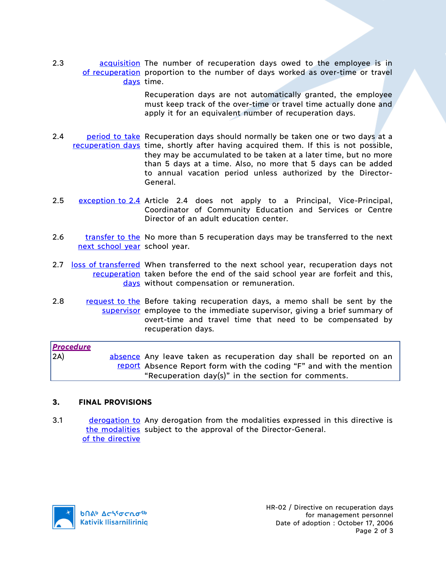2.3 **acquisition** The number of recuperation days owed to the employee is in of recuperation proportion to the number of days worked as over-time or travel days time.

> Recuperation days are not automatically granted, the employee must keep track of the over-time or travel time actually done and apply it for an equivalent number of recuperation days.

- 2.4 period to take Recuperation days should normally be taken one or two days at a recuperation days time, shortly after having acquired them. If this is not possible, they may be accumulated to be taken at a later time, but no more than 5 days at a time. Also, no more that 5 days can be added to annual vacation period unless authorized by the Director-General.
- 2.5 exception to 2.4 Article 2.4 does not apply to a Principal, Vice-Principal, Coordinator of Community Education and Services or Centre Director of an adult education center.
- 2.6 transfer to the No more than 5 recuperation days may be transferred to the next next school year school year.
- 2.7 loss of transferred When transferred to the next school year, recuperation days not recuperation taken before the end of the said school year are forfeit and this, days without compensation or remuneration.
- 2.8 request to the Before taking recuperation days, a memo shall be sent by the supervisor employee to the immediate supervisor, giving a brief summary of overt-time and travel time that need to be compensated by recuperation days.

| <b>Procedure</b> |                                                                     |
|------------------|---------------------------------------------------------------------|
| 2A)              | absence Any leave taken as recuperation day shall be reported on an |
|                  | report Absence Report form with the coding "F" and with the mention |
|                  | "Recuperation day(s)" in the section for comments.                  |

#### **3. FINAL PROVISIONS**

3.1 derogation to Any derogation from the modalities expressed in this directive is the modalities subject to the approval of the Director-General. of the directive